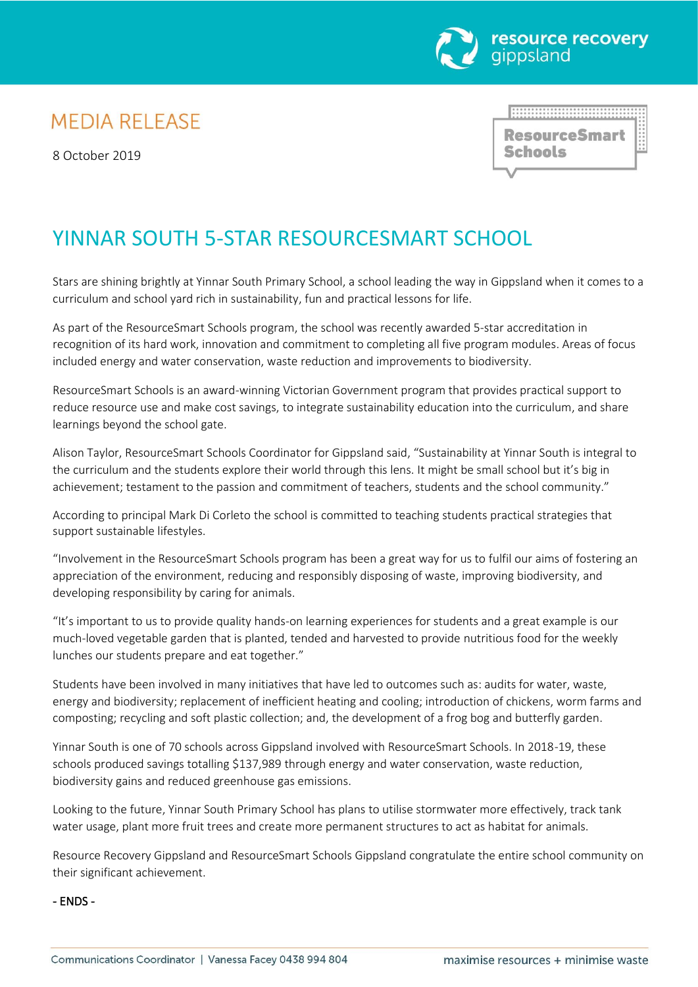

# **MEDIA RELEASE**

8 October 2019

<u> HANANISMISSIONISMISS</u> **ResourceSmart Schools** 

# YINNAR SOUTH 5-STAR RESOURCESMART SCHOOL

Stars are shining brightly at Yinnar South Primary School, a school leading the way in Gippsland when it comes to a curriculum and school yard rich in sustainability, fun and practical lessons for life.

As part of the ResourceSmart Schools program, the school was recently awarded 5-star accreditation in recognition of its hard work, innovation and commitment to completing all five program modules. Areas of focus included energy and water conservation, waste reduction and improvements to biodiversity.

ResourceSmart Schools is an award-winning Victorian Government program that provides practical support to reduce resource use and make cost savings, to integrate sustainability education into the curriculum, and share learnings beyond the school gate.

Alison Taylor, ResourceSmart Schools Coordinator for Gippsland said, "Sustainability at Yinnar South is integral to the curriculum and the students explore their world through this lens. It might be small school but it's big in achievement; testament to the passion and commitment of teachers, students and the school community."

According to principal Mark Di Corleto the school is committed to teaching students practical strategies that support sustainable lifestyles.

"Involvement in the ResourceSmart Schools program has been a great way for us to fulfil our aims of fostering an appreciation of the environment, reducing and responsibly disposing of waste, improving biodiversity, and developing responsibility by caring for animals.

"It's important to us to provide quality hands-on learning experiences for students and a great example is our much-loved vegetable garden that is planted, tended and harvested to provide nutritious food for the weekly lunches our students prepare and eat together."

Students have been involved in many initiatives that have led to outcomes such as: audits for water, waste, energy and biodiversity; replacement of inefficient heating and cooling; introduction of chickens, worm farms and composting; recycling and soft plastic collection; and, the development of a frog bog and butterfly garden.

Yinnar South is one of 70 schools across Gippsland involved with ResourceSmart Schools. In 2018-19, these schools produced savings totalling \$137,989 through energy and water conservation, waste reduction, biodiversity gains and reduced greenhouse gas emissions.

Looking to the future, Yinnar South Primary School has plans to utilise stormwater more effectively, track tank water usage, plant more fruit trees and create more permanent structures to act as habitat for animals.

Resource Recovery Gippsland and ResourceSmart Schools Gippsland congratulate the entire school community on their significant achievement.

## - ENDS -